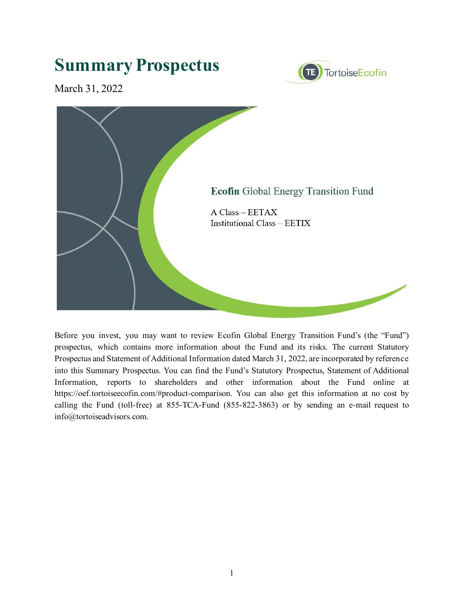# **Summary Prospectus**



March 31, 2022



Before you invest, you may want to review Ecofin Global Energy Transition Fund's (the "Fund") prospectus, which contains more information about the Fund and its risks. The current Statutory Prospectus and Statement of Additional Information dated March 31, 2022, are incorporated by reference into this Summary Prospectus. You can find the Fund's Statutory Prospectus, Statement of Additional Information, reports to shareholders and other information about the Fund online at https://oef.tortoiseecofin.com/#product-comparison. You can also get this information at no cost by calling the Fund (toll-free) at 855-TCA-Fund (855-822-3863) or by sending an e-mail request to info@tortoiseadvisors.com.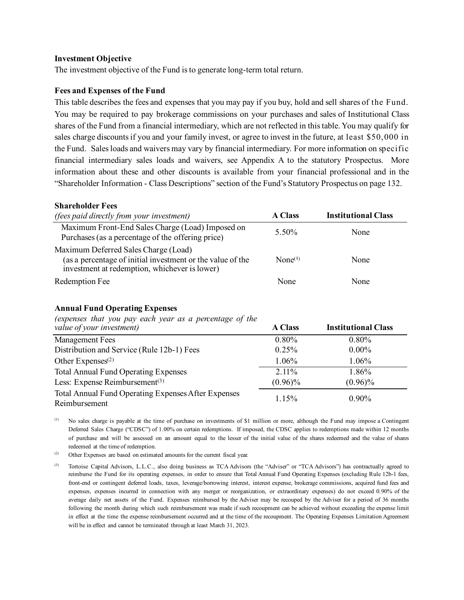#### **Investment Objective**

The investment objective of the Fund is to generate long-term total return.

#### **Fees and Expenses of the Fund**

This table describes the fees and expenses that you may pay if you buy, hold and sell shares of the Fund. You may be required to pay brokerage commissions on your purchases and sales of Institutional Class shares of the Fund from a financial intermediary, which are not reflected in this table. You may qualify for sales charge discounts if you and your family invest, or agree to invest in the future, at least \$50,000 in the Fund. Sales loads and waivers may vary by financial intermediary. For more information on specific financial intermediary sales loads and waivers, see Appendix A to the statutory Prospectus. More information about these and other discounts is available from your financial professional and in the "Shareholder Information - Class Descriptions" section of the Fund's Statutory Prospectus on page 132.

#### **Shareholder Fees**

| <i>(fees paid directly from your investment)</i>                                                                                                    | <b>A Class</b>      | <b>Institutional Class</b> |
|-----------------------------------------------------------------------------------------------------------------------------------------------------|---------------------|----------------------------|
| Maximum Front-End Sales Charge (Load) Imposed on<br>Purchases (as a percentage of the offering price)                                               | 5.50%               | None                       |
| Maximum Deferred Sales Charge (Load)<br>(as a percentage of initial investment or the value of the<br>investment at redemption, whichever is lower) | None <sup>(1)</sup> | None                       |
| Redemption Fee                                                                                                                                      | None                | None                       |

### **Annual Fund Operating Expenses**

*(expenses that you pay each year as a percentage of the* 

| value of your investment)                                            | <b>A Class</b> | <b>Institutional Class</b> |
|----------------------------------------------------------------------|----------------|----------------------------|
| <b>Management Fees</b>                                               | 0.80%          | $0.80\%$                   |
| Distribution and Service (Rule 12b-1) Fees                           | 0.25%          | $0.00\%$                   |
| Other Expenses $(2)$                                                 | 1.06%          | 1.06%                      |
| <b>Total Annual Fund Operating Expenses</b>                          | $2.11\%$       | 1.86%                      |
| Less: Expense Reimbursement $(3)$                                    | $(0.96)\%$     | $(0.96)\%$                 |
| Total Annual Fund Operating Expenses After Expenses<br>Reimbursement | 1.15%          | $0.90\%$                   |

(1) No sales charge is payable at the time of purchase on investments of \$1 million or more, although the Fund may impose a Contingent Deferred Sales Charge ("CDSC") of 1.00% on certain redemptions. If imposed, the CDSC applies to redemptions made within 12 months of purchase and will be assessed on an amount equal to the lesser of the initial value of the shares redeemed and the value of shares redeemed at the time of redemption.

(2) Other Expenses are based on estimated amounts for the current fiscal year.

(3) Tortoise Capital Advisors, L.L.C., also doing business as TCA Advisors (the "Adviser" or "TCA Advisors") has contractually agreed to reimburse the Fund for its operating expenses, in order to ensure that Total Annual Fund Operating Expenses (excluding Rule 12b-1 fees, front-end or contingent deferred loads, taxes, leverage/borrowing interest, interest expense, brokerage commissions, acquired fund fees and expenses, expenses incurred in connection with any merger or reorganization, or extraordinary expenses) do not exceed 0.90% of the average daily net assets of the Fund. Expenses reimbursed by the Adviser may be recouped by the Adviser for a period of 36 months following the month during which such reimbursement was made if such recoupment can be achieved without exceeding the expense limit in effect at the time the expense reimbursement occurred and at the time of the recoupment. The Operating Expenses Limitation Agreement will be in effect and cannot be terminated through at least March 31, 2023.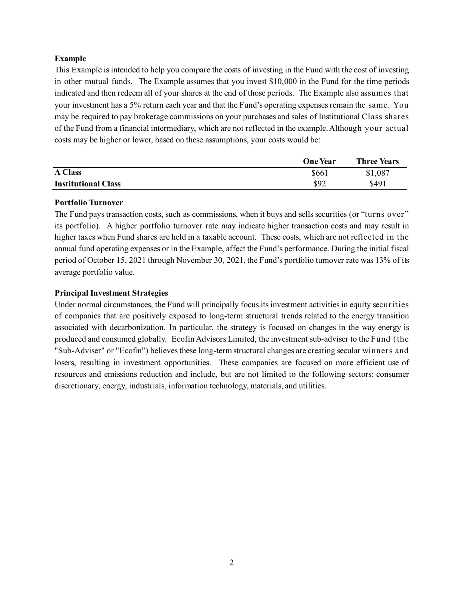# **Example**

This Example is intended to help you compare the costs of investing in the Fund with the cost of investing in other mutual funds. The Example assumes that you invest \$10,000 in the Fund for the time periods indicated and then redeem all of your shares at the end of those periods. The Example also assumes that your investment has a 5% return each year and that the Fund's operating expenses remain the same. You may be required to pay brokerage commissions on your purchases and sales of Institutional Class shares of the Fund from a financial intermediary, which are not reflected in the example. Although your actual costs may be higher or lower, based on these assumptions, your costs would be:

|                            | <b>One Year</b> | <b>Three Years</b> |
|----------------------------|-----------------|--------------------|
| <b>A Class</b>             | \$661           | \$1,087            |
| <b>Institutional Class</b> | \$92            | \$491              |

### **Portfolio Turnover**

The Fund pays transaction costs, such as commissions, when it buys and sells securities (or "turns over" its portfolio). A higher portfolio turnover rate may indicate higher transaction costs and may result in higher taxes when Fund shares are held in a taxable account. These costs, which are not reflected in the annual fund operating expenses or in the Example, affect the Fund's performance. During the initial fiscal period of October 15, 2021 through November 30, 2021, the Fund's portfolio turnover rate was 13% of its average portfolio value.

# **Principal Investment Strategies**

Under normal circumstances, the Fund will principally focus its investment activities in equity securities of companies that are positively exposed to long-term structural trends related to the energy transition associated with decarbonization. In particular, the strategy is focused on changes in the way energy is produced and consumed globally. Ecofin Advisors Limited, the investment sub-adviser to the Fund (the "Sub-Adviser" or "Ecofin") believes these long-term structural changes are creating secular winners and losers, resulting in investment opportunities. These companies are focused on more efficient use of resources and emissions reduction and include, but are not limited to the following sectors: consumer discretionary, energy, industrials, information technology, materials, and utilities.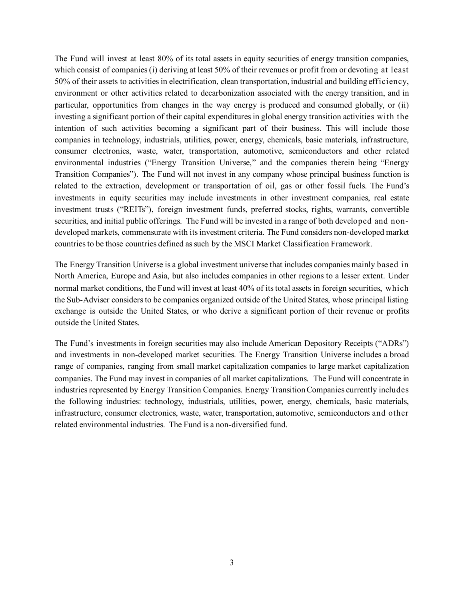The Fund will invest at least 80% of its total assets in equity securities of energy transition companies, which consist of companies (i) deriving at least 50% of their revenues or profit from or devoting at least 50% of their assets to activities in electrification, clean transportation, industrial and building efficiency, environment or other activities related to decarbonization associated with the energy transition, and in particular, opportunities from changes in the way energy is produced and consumed globally, or (ii) investing a significant portion of their capital expenditures in global energy transition activities with the intention of such activities becoming a significant part of their business. This will include those companies in technology, industrials, utilities, power, energy, chemicals, basic materials, infrastructure, consumer electronics, waste, water, transportation, automotive, semiconductors and other related environmental industries ("Energy Transition Universe," and the companies therein being "Energy Transition Companies"). The Fund will not invest in any company whose principal business function is related to the extraction, development or transportation of oil, gas or other fossil fuels. The Fund's investments in equity securities may include investments in other investment companies, real estate investment trusts ("REITs"), foreign investment funds, preferred stocks, rights, warrants, convertible securities, and initial public offerings. The Fund will be invested in a range of both developed and nondeveloped markets, commensurate with its investment criteria. The Fund considers non-developed market countries to be those countries defined as such by the MSCI Market Classification Framework.

The Energy Transition Universe is a global investment universe that includes companies mainly based in North America, Europe and Asia, but also includes companies in other regions to a lesser extent. Under normal market conditions, the Fund will invest at least 40% of its total assets in foreign securities, which the Sub-Adviser considers to be companies organized outside of the United States, whose principal listing exchange is outside the United States, or who derive a significant portion of their revenue or profits outside the United States.

The Fund's investments in foreign securities may also include American Depository Receipts ("ADRs") and investments in non-developed market securities. The Energy Transition Universe includes a broad range of companies, ranging from small market capitalization companies to large market capitalization companies. The Fund may invest in companies of all market capitalizations. The Fund will concentrate in industries represented by Energy Transition Companies. Energy Transition Companies currently includes the following industries: technology, industrials, utilities, power, energy, chemicals, basic materials, infrastructure, consumer electronics, waste, water, transportation, automotive, semiconductors and other related environmental industries. The Fund is a non-diversified fund.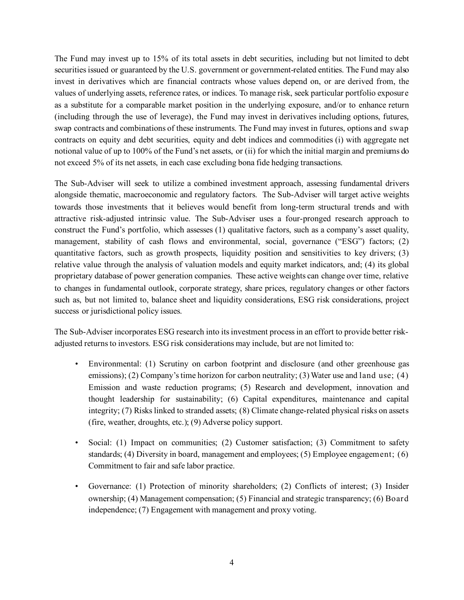The Fund may invest up to 15% of its total assets in debt securities, including but not limited to debt securities issued or guaranteed by the U.S. government or government-related entities. The Fund may also invest in derivatives which are financial contracts whose values depend on, or are derived from, the values of underlying assets, reference rates, or indices. To manage risk, seek particular portfolio exposure as a substitute for a comparable market position in the underlying exposure, and/or to enhance return (including through the use of leverage), the Fund may invest in derivatives including options, futures, swap contracts and combinations of these instruments. The Fund may invest in futures, options and swap contracts on equity and debt securities, equity and debt indices and commodities (i) with aggregate net notional value of up to 100% of the Fund's net assets, or (ii) for which the initial margin and premiums do not exceed 5% of its net assets, in each case excluding bona fide hedging transactions.

The Sub-Adviser will seek to utilize a combined investment approach, assessing fundamental drivers alongside thematic, macroeconomic and regulatory factors. The Sub-Adviser will target active weights towards those investments that it believes would benefit from long-term structural trends and with attractive risk-adjusted intrinsic value. The Sub-Adviser uses a four-pronged research approach to construct the Fund's portfolio, which assesses (1) qualitative factors, such as a company's asset quality, management, stability of cash flows and environmental, social, governance ("ESG") factors; (2) quantitative factors, such as growth prospects, liquidity position and sensitivities to key drivers; (3) relative value through the analysis of valuation models and equity market indicators, and; (4) its global proprietary database of power generation companies. These active weights can change over time, relative to changes in fundamental outlook, corporate strategy, share prices, regulatory changes or other factors such as, but not limited to, balance sheet and liquidity considerations, ESG risk considerations, project success or jurisdictional policy issues.

The Sub-Adviser incorporates ESG research into its investment process in an effort to provide better riskadjusted returns to investors. ESG risk considerations may include, but are not limited to:

- Environmental: (1) Scrutiny on carbon footprint and disclosure (and other greenhouse gas emissions); (2) Company's time horizon for carbon neutrality; (3) Water use and land use; (4) Emission and waste reduction programs; (5) Research and development, innovation and thought leadership for sustainability; (6) Capital expenditures, maintenance and capital integrity; (7) Risks linked to stranded assets; (8) Climate change-related physical risks on assets (fire, weather, droughts, etc.); (9) Adverse policy support.
- Social: (1) Impact on communities; (2) Customer satisfaction; (3) Commitment to safety standards; (4) Diversity in board, management and employees; (5) Employee engagement; (6) Commitment to fair and safe labor practice.
- Governance: (1) Protection of minority shareholders; (2) Conflicts of interest; (3) Insider ownership; (4) Management compensation; (5) Financial and strategic transparency; (6) Board independence; (7) Engagement with management and proxy voting.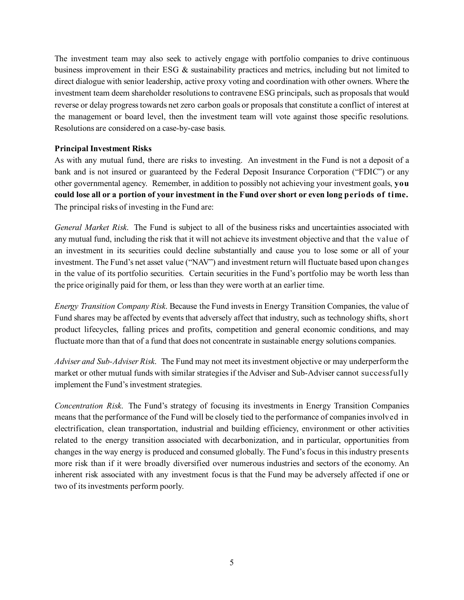The investment team may also seek to actively engage with portfolio companies to drive continuous business improvement in their ESG & sustainability practices and metrics, including but not limited to direct dialogue with senior leadership, active proxy voting and coordination with other owners. Where the investment team deem shareholder resolutions to contravene ESG principals, such as proposals that would reverse or delay progress towards net zero carbon goals or proposals that constitute a conflict of interest at the management or board level, then the investment team will vote against those specific resolutions. Resolutions are considered on a case-by-case basis.

# **Principal Investment Risks**

As with any mutual fund, there are risks to investing. An investment in the Fund is not a deposit of a bank and is not insured or guaranteed by the Federal Deposit Insurance Corporation ("FDIC") or any other governmental agency. Remember, in addition to possibly not achieving your investment goals, **you could lose all or a portion of your investment in the Fund over short or even long periods of time.** The principal risks of investing in the Fund are:

*General Market Risk*. The Fund is subject to all of the business risks and uncertainties associated with any mutual fund, including the risk that it will not achieve its investment objective and that the value of an investment in its securities could decline substantially and cause you to lose some or all of your investment. The Fund's net asset value ("NAV") and investment return will fluctuate based upon changes in the value of its portfolio securities. Certain securities in the Fund's portfolio may be worth less than the price originally paid for them, or less than they were worth at an earlier time.

*Energy Transition Company Risk*. Because the Fund invests in Energy Transition Companies, the value of Fund shares may be affected by events that adversely affect that industry, such as technology shifts, short product lifecycles, falling prices and profits, competition and general economic conditions, and may fluctuate more than that of a fund that does not concentrate in sustainable energy solutions companies.

*Adviser and Sub-Adviser Risk*. The Fund may not meet its investment objective or may underperform the market or other mutual funds with similar strategies if the Adviser and Sub-Adviser cannot successfully implement the Fund's investment strategies.

*Concentration Risk*. The Fund's strategy of focusing its investments in Energy Transition Companies means that the performance of the Fund will be closely tied to the performance of companies involved in electrification, clean transportation, industrial and building efficiency, environment or other activities related to the energy transition associated with decarbonization, and in particular, opportunities from changes in the way energy is produced and consumed globally. The Fund's focus in this industry presents more risk than if it were broadly diversified over numerous industries and sectors of the economy. An inherent risk associated with any investment focus is that the Fund may be adversely affected if one or two of its investments perform poorly.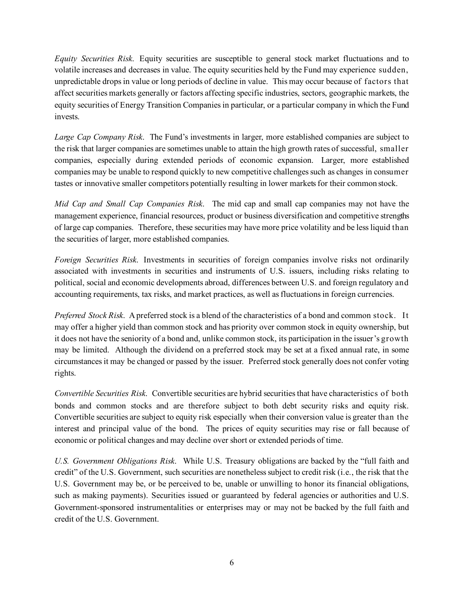*Equity Securities Risk*. Equity securities are susceptible to general stock market fluctuations and to volatile increases and decreases in value. The equity securities held by the Fund may experience sudden, unpredictable drops in value or long periods of decline in value. This may occur because of factors that affect securities markets generally or factors affecting specific industries, sectors, geographic markets, the equity securities of Energy Transition Companies in particular, or a particular company in which the Fund invests.

*Large Cap Company Risk*. The Fund's investments in larger, more established companies are subject to the risk that larger companies are sometimes unable to attain the high growth rates of successful, smaller companies, especially during extended periods of economic expansion. Larger, more established companies may be unable to respond quickly to new competitive challenges such as changes in consumer tastes or innovative smaller competitors potentially resulting in lower markets for their common stock.

*Mid Cap and Small Cap Companies Risk*. The mid cap and small cap companies may not have the management experience, financial resources, product or business diversification and competitive strengths of large cap companies. Therefore, these securities may have more price volatility and be less liquid than the securities of larger, more established companies.

*Foreign Securities Risk*. Investments in securities of foreign companies involve risks not ordinarily associated with investments in securities and instruments of U.S. issuers, including risks relating to political, social and economic developments abroad, differences between U.S. and foreign regulatory and accounting requirements, tax risks, and market practices, as well as fluctuations in foreign currencies.

*Preferred Stock Risk*. A preferred stock is a blend of the characteristics of a bond and common stock. It may offer a higher yield than common stock and has priority over common stock in equity ownership, but it does not have the seniority of a bond and, unlike common stock, its participation in the issuer's growth may be limited. Although the dividend on a preferred stock may be set at a fixed annual rate, in some circumstances it may be changed or passed by the issuer. Preferred stock generally does not confer voting rights.

*Convertible Securities Risk*. Convertible securities are hybrid securities that have characteristics of both bonds and common stocks and are therefore subject to both debt security risks and equity risk. Convertible securities are subject to equity risk especially when their conversion value is greater than the interest and principal value of the bond. The prices of equity securities may rise or fall because of economic or political changes and may decline over short or extended periods of time.

*U.S. Government Obligations Risk*. While U.S. Treasury obligations are backed by the "full faith and credit" of the U.S. Government, such securities are nonetheless subject to credit risk (i.e., the risk that the U.S. Government may be, or be perceived to be, unable or unwilling to honor its financial obligations, such as making payments). Securities issued or guaranteed by federal agencies or authorities and U.S. Government-sponsored instrumentalities or enterprises may or may not be backed by the full faith and credit of the U.S. Government.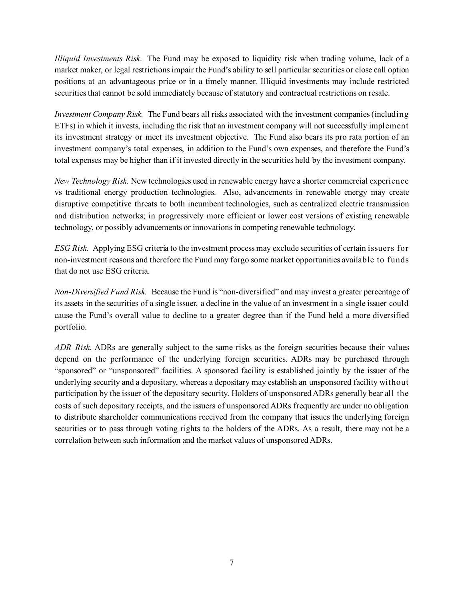*Illiquid Investments Risk*. The Fund may be exposed to liquidity risk when trading volume, lack of a market maker, or legal restrictions impair the Fund's ability to sell particular securities or close call option positions at an advantageous price or in a timely manner. Illiquid investments may include restricted securities that cannot be sold immediately because of statutory and contractual restrictions on resale.

*Investment Company Risk.* The Fund bears all risks associated with the investment companies (including ETFs) in which it invests, including the risk that an investment company will not successfully implement its investment strategy or meet its investment objective. The Fund also bears its pro rata portion of an investment company's total expenses, in addition to the Fund's own expenses, and therefore the Fund's total expenses may be higher than if it invested directly in the securities held by the investment company.

*New Technology Risk.* New technologies used in renewable energy have a shorter commercial experience vs traditional energy production technologies. Also, advancements in renewable energy may create disruptive competitive threats to both incumbent technologies, such as centralized electric transmission and distribution networks; in progressively more efficient or lower cost versions of existing renewable technology, or possibly advancements or innovations in competing renewable technology.

*ESG Risk.* Applying ESG criteria to the investment process may exclude securities of certain issuers for non-investment reasons and therefore the Fund may forgo some market opportunities available to funds that do not use ESG criteria.

*Non-Diversified Fund Risk.* Because the Fund is "non-diversified" and may invest a greater percentage of its assets in the securities of a single issuer, a decline in the value of an investment in a single issuer could cause the Fund's overall value to decline to a greater degree than if the Fund held a more diversified portfolio.

*ADR Risk.* ADRs are generally subject to the same risks as the foreign securities because their values depend on the performance of the underlying foreign securities. ADRs may be purchased through "sponsored" or "unsponsored" facilities. A sponsored facility is established jointly by the issuer of the underlying security and a depositary, whereas a depositary may establish an unsponsored facility without participation by the issuer of the depositary security. Holders of unsponsored ADRs generally bear all the costs of such depositary receipts, and the issuers of unsponsored ADRs frequently are under no obligation to distribute shareholder communications received from the company that issues the underlying foreign securities or to pass through voting rights to the holders of the ADRs. As a result, there may not be a correlation between such information and the market values of unsponsored ADRs.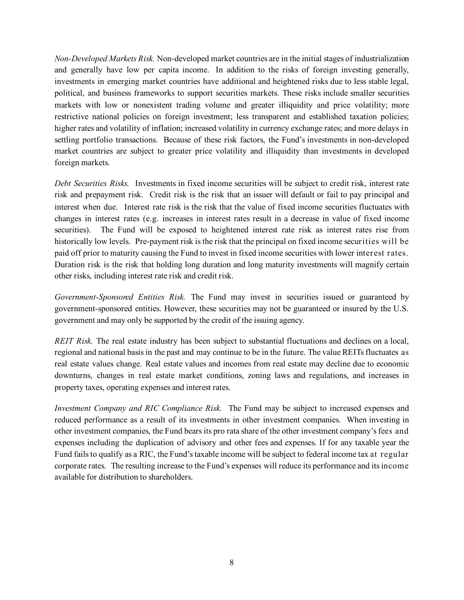*Non-Developed Markets Risk.* Non-developed market countries are in the initial stages of industrialization and generally have low per capita income. In addition to the risks of foreign investing generally, investments in emerging market countries have additional and heightened risks due to less stable legal, political, and business frameworks to support securities markets. These risks include smaller securities markets with low or nonexistent trading volume and greater illiquidity and price volatility; more restrictive national policies on foreign investment; less transparent and established taxation policies; higher rates and volatility of inflation; increased volatility in currency exchange rates; and more delays in settling portfolio transactions. Because of these risk factors, the Fund's investments in non-developed market countries are subject to greater price volatility and illiquidity than investments in developed foreign markets.

*Debt Securities Risks.* Investments in fixed income securities will be subject to credit risk, interest rate risk and prepayment risk. Credit risk is the risk that an issuer will default or fail to pay principal and interest when due. Interest rate risk is the risk that the value of fixed income securities fluctuates with changes in interest rates (e.g. increases in interest rates result in a decrease in value of fixed income securities). The Fund will be exposed to heightened interest rate risk as interest rates rise from historically low levels. Pre-payment risk is the risk that the principal on fixed income securities will be paid off prior to maturity causing the Fund to invest in fixed income securities with lower interest rates. Duration risk is the risk that holding long duration and long maturity investments will magnify certain other risks, including interest rate risk and credit risk.

*Government-Sponsored Entities Risk.* The Fund may invest in securities issued or guaranteed by government-sponsored entities. However, these securities may not be guaranteed or insured by the U.S. government and may only be supported by the credit of the issuing agency.

*REIT Risk.* The real estate industry has been subject to substantial fluctuations and declines on a local, regional and national basis in the past and may continue to be in the future. The value REITs fluctuates as real estate values change. Real estate values and incomes from real estate may decline due to economic downturns, changes in real estate market conditions, zoning laws and regulations, and increases in property taxes, operating expenses and interest rates.

*Investment Company and RIC Compliance Risk.* The Fund may be subject to increased expenses and reduced performance as a result of its investments in other investment companies. When investing in other investment companies, the Fund bears its pro rata share of the other investment company's fees and expenses including the duplication of advisory and other fees and expenses. If for any taxable year the Fund fails to qualify as a RIC, the Fund's taxable income will be subject to federal income tax at regular corporate rates. The resulting increase to the Fund's expenses will reduce its performance and its income available for distribution to shareholders.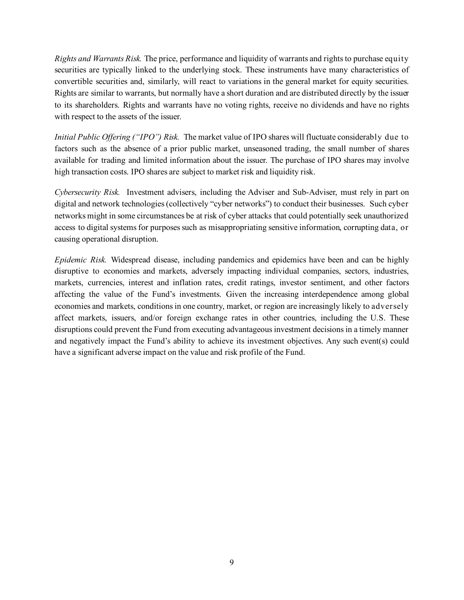*Rights and Warrants Risk.* The price, performance and liquidity of warrants and rights to purchase equity securities are typically linked to the underlying stock. These instruments have many characteristics of convertible securities and, similarly, will react to variations in the general market for equity securities. Rights are similar to warrants, but normally have a short duration and are distributed directly by the issuer to its shareholders. Rights and warrants have no voting rights, receive no dividends and have no rights with respect to the assets of the issuer.

*Initial Public Offering ("IPO") Risk.* The market value of IPO shares will fluctuate considerably due to factors such as the absence of a prior public market, unseasoned trading, the small number of shares available for trading and limited information about the issuer. The purchase of IPO shares may involve high transaction costs. IPO shares are subject to market risk and liquidity risk.

*Cybersecurity Risk.* Investment advisers, including the Adviser and Sub-Adviser, must rely in part on digital and network technologies (collectively "cyber networks") to conduct their businesses. Such cyber networks might in some circumstances be at risk of cyber attacks that could potentially seek unauthorized access to digital systems for purposes such as misappropriating sensitive information, corrupting data, or causing operational disruption.

*Epidemic Risk.* Widespread disease, including pandemics and epidemics have been and can be highly disruptive to economies and markets, adversely impacting individual companies, sectors, industries, markets, currencies, interest and inflation rates, credit ratings, investor sentiment, and other factors affecting the value of the Fund's investments. Given the increasing interdependence among global economies and markets, conditions in one country, market, or region are increasingly likely to adversely affect markets, issuers, and/or foreign exchange rates in other countries, including the U.S. These disruptions could prevent the Fund from executing advantageous investment decisions in a timely manner and negatively impact the Fund's ability to achieve its investment objectives. Any such event(s) could have a significant adverse impact on the value and risk profile of the Fund.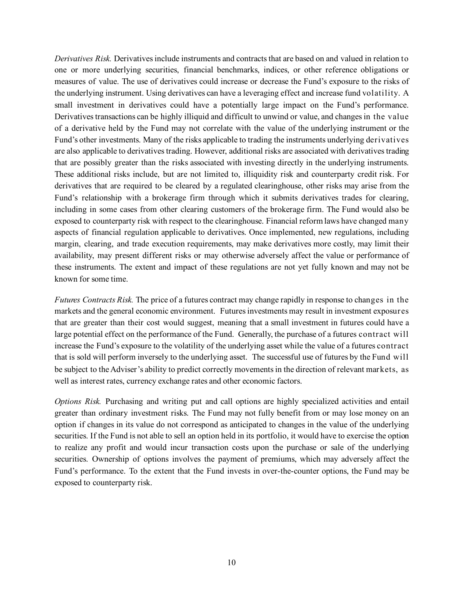*Derivatives Risk.* Derivatives include instruments and contracts that are based on and valued in relation to one or more underlying securities, financial benchmarks, indices, or other reference obligations or measures of value. The use of derivatives could increase or decrease the Fund's exposure to the risks of the underlying instrument. Using derivatives can have a leveraging effect and increase fund volatility. A small investment in derivatives could have a potentially large impact on the Fund's performance. Derivatives transactions can be highly illiquid and difficult to unwind or value, and changes in the value of a derivative held by the Fund may not correlate with the value of the underlying instrument or the Fund's other investments. Many of the risks applicable to trading the instruments underlying derivatives are also applicable to derivatives trading. However, additional risks are associated with derivatives trading that are possibly greater than the risks associated with investing directly in the underlying instruments. These additional risks include, but are not limited to, illiquidity risk and counterparty credit risk. For derivatives that are required to be cleared by a regulated clearinghouse, other risks may arise from the Fund's relationship with a brokerage firm through which it submits derivatives trades for clearing, including in some cases from other clearing customers of the brokerage firm. The Fund would also be exposed to counterparty risk with respect to the clearinghouse. Financial reform laws have changed many aspects of financial regulation applicable to derivatives. Once implemented, new regulations, including margin, clearing, and trade execution requirements, may make derivatives more costly, may limit their availability, may present different risks or may otherwise adversely affect the value or performance of these instruments. The extent and impact of these regulations are not yet fully known and may not be known for some time.

*Futures Contracts Risk.* The price of a futures contract may change rapidly in response to changes in the markets and the general economic environment. Futures investments may result in investment exposures that are greater than their cost would suggest, meaning that a small investment in futures could have a large potential effect on the performance of the Fund. Generally, the purchase of a futures contract will increase the Fund's exposure to the volatility of the underlying asset while the value of a futures contract that is sold will perform inversely to the underlying asset. The successful use of futures by the Fund will be subject to the Adviser's ability to predict correctly movements in the direction of relevant markets, as well as interest rates, currency exchange rates and other economic factors.

*Options Risk.* Purchasing and writing put and call options are highly specialized activities and entail greater than ordinary investment risks. The Fund may not fully benefit from or may lose money on an option if changes in its value do not correspond as anticipated to changes in the value of the underlying securities. If the Fund is not able to sell an option held in its portfolio, it would have to exercise the option to realize any profit and would incur transaction costs upon the purchase or sale of the underlying securities. Ownership of options involves the payment of premiums, which may adversely affect the Fund's performance. To the extent that the Fund invests in over-the-counter options, the Fund may be exposed to counterparty risk.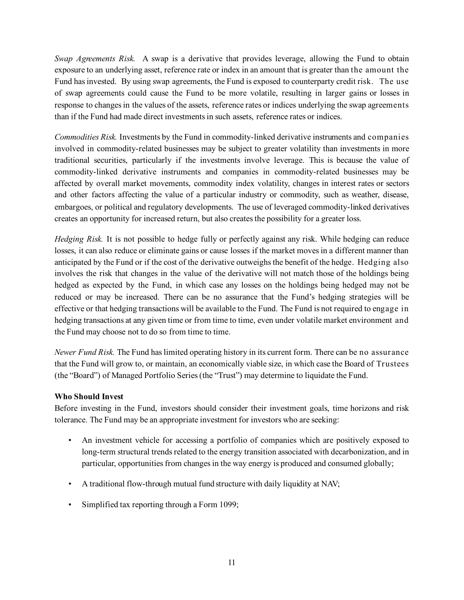*Swap Agreements Risk.* A swap is a derivative that provides leverage, allowing the Fund to obtain exposure to an underlying asset, reference rate or index in an amount that is greater than the amount the Fund has invested. By using swap agreements, the Fund is exposed to counterparty credit risk. The use of swap agreements could cause the Fund to be more volatile, resulting in larger gains or losses in response to changes in the values of the assets, reference rates or indices underlying the swap agreements than if the Fund had made direct investments in such assets, reference rates or indices.

*Commodities Risk.* Investments by the Fund in commodity-linked derivative instruments and companies involved in commodity-related businesses may be subject to greater volatility than investments in more traditional securities, particularly if the investments involve leverage. This is because the value of commodity-linked derivative instruments and companies in commodity-related businesses may be affected by overall market movements, commodity index volatility, changes in interest rates or sectors and other factors affecting the value of a particular industry or commodity, such as weather, disease, embargoes, or political and regulatory developments. The use of leveraged commodity-linked derivatives creates an opportunity for increased return, but also creates the possibility for a greater loss.

*Hedging Risk.* It is not possible to hedge fully or perfectly against any risk. While hedging can reduce losses, it can also reduce or eliminate gains or cause losses if the market moves in a different manner than anticipated by the Fund or if the cost of the derivative outweighs the benefit of the hedge. Hedging also involves the risk that changes in the value of the derivative will not match those of the holdings being hedged as expected by the Fund, in which case any losses on the holdings being hedged may not be reduced or may be increased. There can be no assurance that the Fund's hedging strategies will be effective or that hedging transactions will be available to the Fund. The Fund is not required to engage in hedging transactions at any given time or from time to time, even under volatile market environment and the Fund may choose not to do so from time to time.

*Newer Fund Risk.* The Fund has limited operating history in its current form. There can be no assurance that the Fund will grow to, or maintain, an economically viable size, in which case the Board of Trustees (the "Board") of Managed Portfolio Series (the "Trust") may determine to liquidate the Fund.

# **Who Should Invest**

Before investing in the Fund, investors should consider their investment goals, time horizons and risk tolerance. The Fund may be an appropriate investment for investors who are seeking:

- An investment vehicle for accessing a portfolio of companies which are positively exposed to long-term structural trends related to the energy transition associated with decarbonization, and in particular, opportunities from changes in the way energy is produced and consumed globally;
- A traditional flow-through mutual fund structure with daily liquidity at NAV;
- Simplified tax reporting through a Form 1099;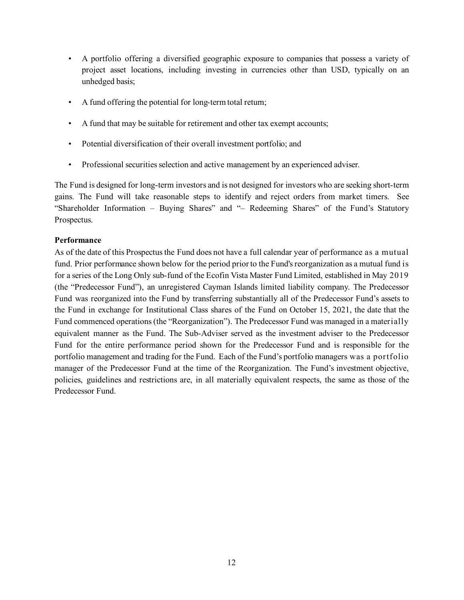- A portfolio offering a diversified geographic exposure to companies that possess a variety of project asset locations, including investing in currencies other than USD, typically on an unhedged basis;
- A fund offering the potential for long-term total return;
- A fund that may be suitable for retirement and other tax exempt accounts;
- Potential diversification of their overall investment portfolio; and
- Professional securities selection and active management by an experienced adviser.

The Fund is designed for long-term investors and is not designed for investors who are seeking short-term gains. The Fund will take reasonable steps to identify and reject orders from market timers. See "Shareholder Information – Buying Shares" and "– Redeeming Shares" of the Fund's Statutory Prospectus.

# **Performance**

As of the date of this Prospectus the Fund does not have a full calendar year of performance as a mutual fund. Prior performance shown below for the period prior to the Fund's reorganization as a mutual fund is for a series of the Long Only sub-fund of the Ecofin Vista Master Fund Limited, established in May 2019 (the "Predecessor Fund"), an unregistered Cayman Islands limited liability company. The Predecessor Fund was reorganized into the Fund by transferring substantially all of the Predecessor Fund's assets to the Fund in exchange for Institutional Class shares of the Fund on October 15, 2021, the date that the Fund commenced operations (the "Reorganization"). The Predecessor Fund was managed in a materially equivalent manner as the Fund. The Sub-Adviser served as the investment adviser to the Predecessor Fund for the entire performance period shown for the Predecessor Fund and is responsible for the portfolio management and trading for the Fund. Each of the Fund's portfolio managers was a portfolio manager of the Predecessor Fund at the time of the Reorganization. The Fund's investment objective, policies, guidelines and restrictions are, in all materially equivalent respects, the same as those of the Predecessor Fund.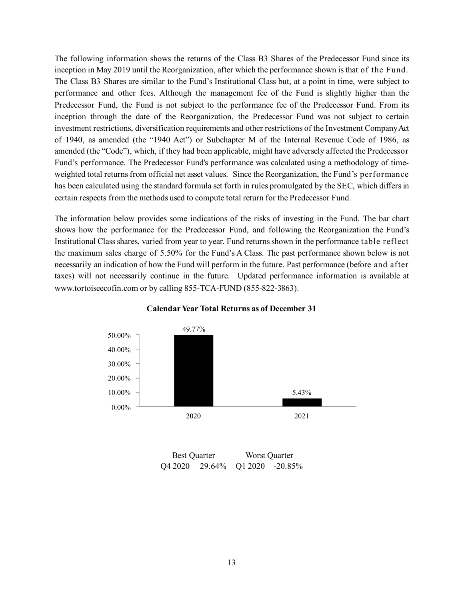The following information shows the returns of the Class B3 Shares of the Predecessor Fund since its inception in May 2019 until the Reorganization, after which the performance shown is that of the Fund. The Class B3 Shares are similar to the Fund's Institutional Class but, at a point in time, were subject to performance and other fees. Although the management fee of the Fund is slightly higher than the Predecessor Fund, the Fund is not subject to the performance fee of the Predecessor Fund. From its inception through the date of the Reorganization, the Predecessor Fund was not subject to certain investment restrictions, diversification requirements and other restrictions of the Investment Company Act of 1940, as amended (the "1940 Act") or Subchapter M of the Internal Revenue Code of 1986, as amended (the "Code"), which, if they had been applicable, might have adversely affected the Predecessor Fund's performance. The Predecessor Fund's performance was calculated using a methodology of timeweighted total returns from official net asset values. Since the Reorganization, the Fund's performance has been calculated using the standard formula set forth in rules promulgated by the SEC, which differs in certain respects from the methods used to compute total return for the Predecessor Fund.

The information below provides some indications of the risks of investing in the Fund. The bar chart shows how the performance for the Predecessor Fund, and following the Reorganization the Fund's Institutional Class shares, varied from year to year. Fund returns shown in the performance table reflect the maximum sales charge of 5.50% for the Fund's A Class. The past performance shown below is not necessarily an indication of how the Fund will perform in the future. Past performance (before and after taxes) will not necessarily continue in the future. Updated performance information is available at www.tortoiseecofin.com or by calling 855-TCA-FUND (855-822-3863).



### **Calendar Year Total Returns as of December 31**

Best Quarter Worst Quarter Q4 2020 29.64% Q1 2020 -20.85%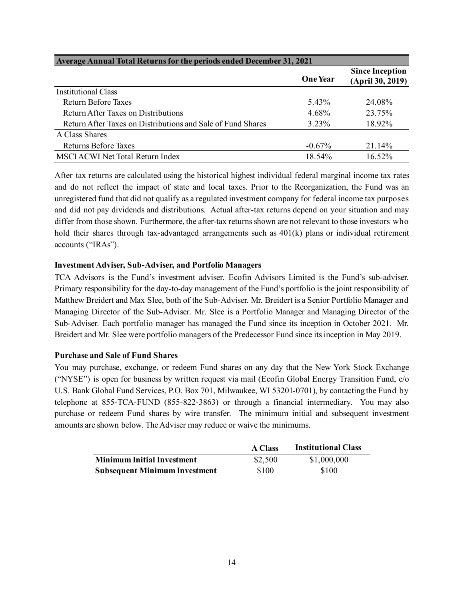| <b>Average Annual Total Returns for the periods ended December 31, 2021</b> |                 |                                            |  |
|-----------------------------------------------------------------------------|-----------------|--------------------------------------------|--|
|                                                                             | <b>One Year</b> | <b>Since Inception</b><br>(April 30, 2019) |  |
| Institutional Class                                                         |                 |                                            |  |
| Return Before Taxes                                                         | 5.43%           | 24.08%                                     |  |
| Return After Taxes on Distributions                                         | 4.68%           | 23.75%                                     |  |
| Return After Taxes on Distributions and Sale of Fund Shares                 | $3.23\%$        | 18.92%                                     |  |
| A Class Shares                                                              |                 |                                            |  |
| Returns Before Taxes                                                        | $-0.67\%$       | 21.14%                                     |  |
| <b>MSCI ACWI Net Total Return Index</b>                                     | 18.54%          | 16.52%                                     |  |

After tax returns are calculated using the historical highest individual federal marginal income tax rates and do not reflect the impact of state and local taxes. Prior to the Reorganization, the Fund was an unregistered fund that did not qualify as a regulated investment company for federal income tax purposes and did not pay dividends and distributions. Actual after-tax returns depend on your situation and may differ from those shown. Furthermore, the after-tax returns shown are not relevant to those investors who hold their shares through tax-advantaged arrangements such as  $401(k)$  plans or individual retirement accounts ("IRAs").

# **Investment Adviser, Sub-Adviser, and Portfolio Managers**

TCA Advisors is the Fund's investment adviser. Ecofin Advisors Limited is the Fund's sub-adviser. Primary responsibility for the day-to-day management of the Fund's portfolio is the joint responsibility of Matthew Breidert and Max Slee, both of the Sub-Adviser. Mr. Breidert is a Senior Portfolio Manager and Managing Director of the Sub-Adviser. Mr. Slee is a Portfolio Manager and Managing Director of the Sub-Adviser. Each portfolio manager has managed the Fund since its inception in October 2021. Mr. Breidert and Mr. Slee were portfolio managers of the Predecessor Fund since its inception in May 2019.

### **Purchase and Sale of Fund Shares**

You may purchase, exchange, or redeem Fund shares on any day that the New York Stock Exchange ("NYSE") is open for business by written request via mail (Ecofin Global Energy Transition Fund, c/o U.S. Bank Global Fund Services, P.O. Box 701, Milwaukee, WI 53201-0701), by contacting the Fund by telephone at 855-TCA-FUND (855-822-3863) or through a financial intermediary. You may also purchase or redeem Fund shares by wire transfer. The minimum initial and subsequent investment amounts are shown below. The Adviser may reduce or waive the minimums.

|                                      | <b>A Class</b> | <b>Institutional Class</b> |
|--------------------------------------|----------------|----------------------------|
| <b>Minimum Initial Investment</b>    | \$2,500        | \$1,000,000                |
| <b>Subsequent Minimum Investment</b> | \$100          | \$100                      |